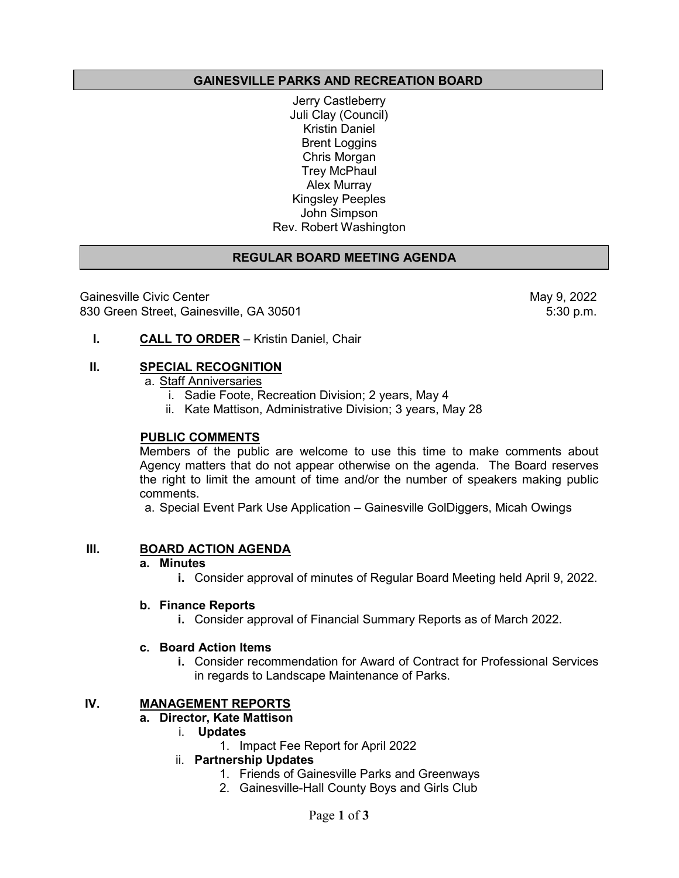## **GAINESVILLE PARKS AND RECREATION BOARD**

Jerry Castleberry Juli Clay (Council) Kristin Daniel Brent Loggins Chris Morgan Trey McPhaul Alex Murray Kingsley Peeples John Simpson Rev. Robert Washington

## **REGULAR BOARD MEETING AGENDA**

Gainesville Civic Center (1990) Sainesville Civic Center (1990) May 9, 2022<br>B30 Green Street, Gainesville, GA 30501 830 Green Street, Gainesville, GA 30501

**I. CALL TO ORDER** – Kristin Daniel, Chair

#### **II. SPECIAL RECOGNITION**

a. Staff Anniversaries

- i. Sadie Foote, Recreation Division; 2 years, May 4
- ii. Kate Mattison, Administrative Division; 3 years, May 28

#### **PUBLIC COMMENTS**

Members of the public are welcome to use this time to make comments about Agency matters that do not appear otherwise on the agenda. The Board reserves the right to limit the amount of time and/or the number of speakers making public comments.

a. Special Event Park Use Application – Gainesville GolDiggers, Micah Owings

## **III. BOARD ACTION AGENDA**

#### **a. Minutes**

**i.** Consider approval of minutes of Regular Board Meeting held April 9, 2022.

#### **b. Finance Reports**

**i.** Consider approval of Financial Summary Reports as of March 2022.

#### **c. Board Action Items**

**i.** Consider recommendation for Award of Contract for Professional Services in regards to Landscape Maintenance of Parks.

## **IV. MANAGEMENT REPORTS**

#### **a. Director, Kate Mattison**

- i. **Updates** 
	- 1. Impact Fee Report for April 2022
- ii. **Partnership Updates**
	- 1. Friends of Gainesville Parks and Greenways
	- 2. Gainesville-Hall County Boys and Girls Club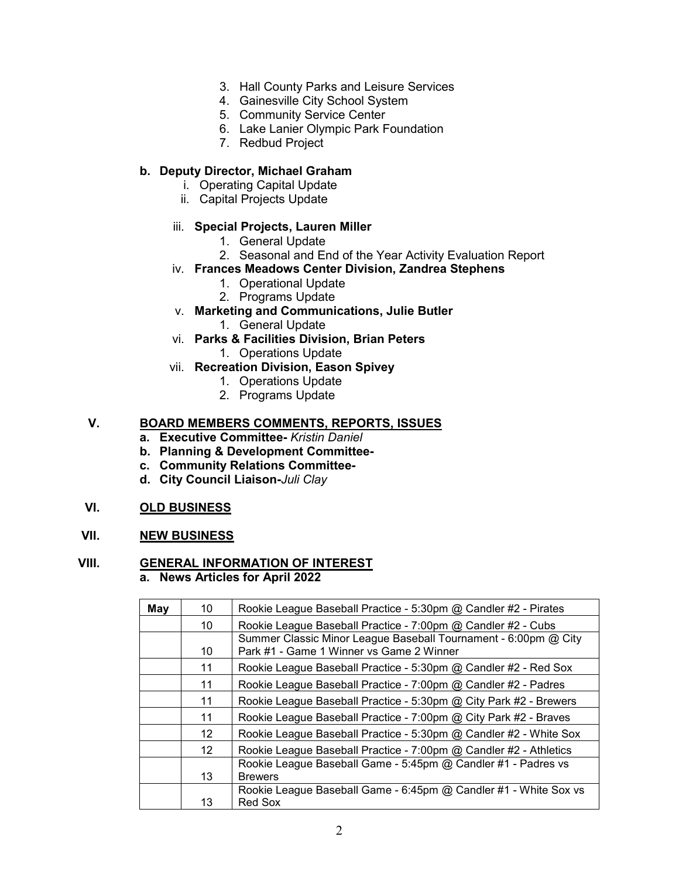- 3. Hall County Parks and Leisure Services
- 4. Gainesville City School System
- 5. Community Service Center
- 6. Lake Lanier Olympic Park Foundation
- 7. Redbud Project

## **b. Deputy Director, Michael Graham**

- i. Operating Capital Update
- ii. Capital Projects Update

#### iii. **Special Projects, Lauren Miller**

- 1. General Update
- 2. Seasonal and End of the Year Activity Evaluation Report
- iv. **Frances Meadows Center Division, Zandrea Stephens**
	- 1. Operational Update
	- 2. Programs Update
- v. **Marketing and Communications, Julie Butler**
	- 1. General Update
- vi. **Parks & Facilities Division, Brian Peters**
	- 1. Operations Update
- vii. **Recreation Division, Eason Spivey**
	- 1. Operations Update
	- 2. Programs Update

## **V. BOARD MEMBERS COMMENTS, REPORTS, ISSUES**

- **a. Executive Committee-** *Kristin Daniel*
- **b. Planning & Development Committee-**
- **c. Community Relations Committee-**
- **d. City Council Liaison-***Juli Clay*

#### **VI. OLD BUSINESS**

## **VII. NEW BUSINESS**

# **VIII. GENERAL INFORMATION OF INTEREST**

**a. News Articles for April 2022**

| May | 10 <sup>°</sup>   | Rookie League Baseball Practice - 5:30pm @ Candler #2 - Pirates                                             |
|-----|-------------------|-------------------------------------------------------------------------------------------------------------|
|     | 10                | Rookie League Baseball Practice - 7:00pm @ Candler #2 - Cubs                                                |
|     | 10                | Summer Classic Minor League Baseball Tournament - 6:00pm @ City<br>Park #1 - Game 1 Winner vs Game 2 Winner |
|     | 11                | Rookie League Baseball Practice - 5:30pm @ Candler #2 - Red Sox                                             |
|     | 11                | Rookie League Baseball Practice - 7:00pm @ Candler #2 - Padres                                              |
|     | 11                | Rookie League Baseball Practice - 5:30pm @ City Park #2 - Brewers                                           |
|     | 11                | Rookie League Baseball Practice - 7:00pm @ City Park #2 - Braves                                            |
|     | $12 \overline{ }$ | Rookie League Baseball Practice - 5:30pm @ Candler #2 - White Sox                                           |
|     | $12 \overline{ }$ | Rookie League Baseball Practice - 7:00pm @ Candler #2 - Athletics                                           |
|     | 13                | Rookie League Baseball Game - 5:45pm @ Candler #1 - Padres vs<br><b>Brewers</b>                             |
|     | 13                | Rookie League Baseball Game - 6:45pm @ Candler #1 - White Sox vs<br><b>Red Sox</b>                          |